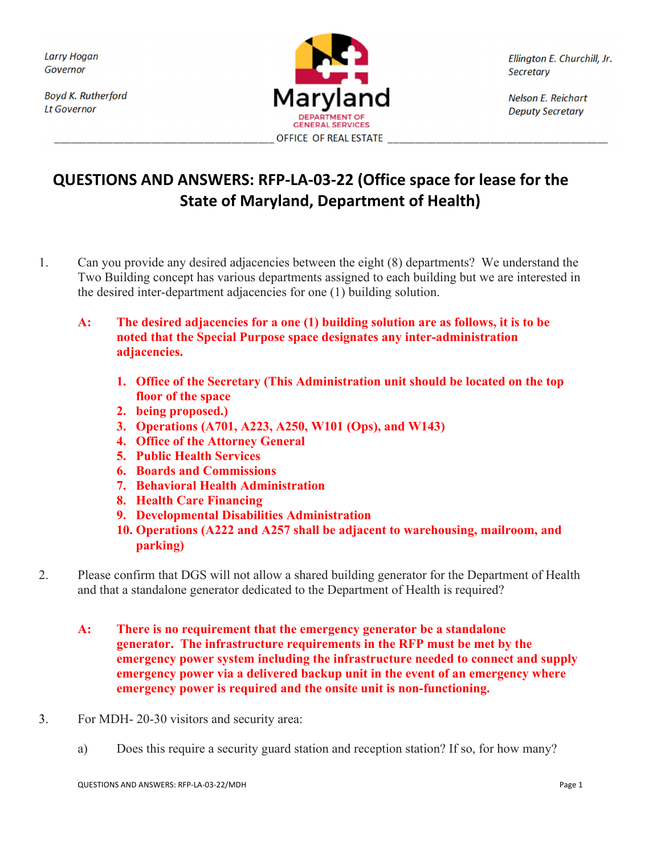**Boyd K. Rutherford Lt Governor** 



Ellington E. Churchill, Jr. **Secretary** 

**Nelson E. Reichart Deputy Secretary** 

# **QUESTIONS AND ANSWERS: RFP‐LA‐03‐22 (Office space for lease for the State of Maryland, Department of Health)**

- 1. Can you provide any desired adjacencies between the eight (8) departments? We understand the Two Building concept has various departments assigned to each building but we are interested in the desired inter-department adjacencies for one (1) building solution.
	- **A: The desired adjacencies for a one (1) building solution are as follows, it is to be noted that the Special Purpose space designates any inter-administration adjacencies.**
		- **1. Office of the Secretary (This Administration unit should be located on the top floor of the space**
		- **2. being proposed.)**
		- **3. Operations (A701, A223, A250, W101 (Ops), and W143)**
		- **4. Office of the Attorney General**
		- **5. Public Health Services**
		- **6. Boards and Commissions**
		- **7. Behavioral Health Administration**
		- **8. Health Care Financing**
		- **9. Developmental Disabilities Administration**
		- **10. Operations (A222 and A257 shall be adjacent to warehousing, mailroom, and parking)**
- 2. Please confirm that DGS will not allow a shared building generator for the Department of Health and that a standalone generator dedicated to the Department of Health is required?
	- **A: There is no requirement that the emergency generator be a standalone generator. The infrastructure requirements in the RFP must be met by the emergency power system including the infrastructure needed to connect and supply emergency power via a delivered backup unit in the event of an emergency where emergency power is required and the onsite unit is non-functioning.**
- 3. For MDH- 20-30 visitors and security area:
	- a) Does this require a security guard station and reception station? If so, for how many?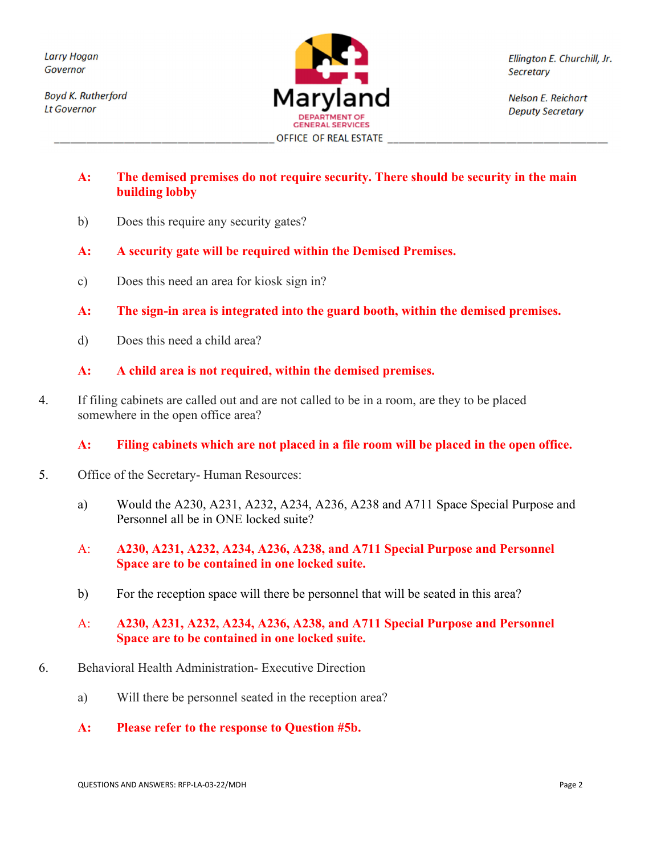**Boyd K. Rutherford Lt Governor** 



Ellington E. Churchill, Jr. **Secretary** 

**Nelson E. Reichart Deputy Secretary** 

#### **A: The demised premises do not require security. There should be security in the main building lobby**

- b) Does this require any security gates?
- **A: A security gate will be required within the Demised Premises.**
- c) Does this need an area for kiosk sign in?
- **A: The sign-in area is integrated into the guard booth, within the demised premises.**
- d) Does this need a child area?

#### **A: A child area is not required, within the demised premises.**

4. If filing cabinets are called out and are not called to be in a room, are they to be placed somewhere in the open office area?

#### **A: Filing cabinets which are not placed in a file room will be placed in the open office.**

- 5. Office of the Secretary- Human Resources:
	- a) Would the A230, A231, A232, A234, A236, A238 and A711 Space Special Purpose and Personnel all be in ONE locked suite?
	- A: **A230, A231, A232, A234, A236, A238, and A711 Special Purpose and Personnel Space are to be contained in one locked suite.**
	- b) For the reception space will there be personnel that will be seated in this area?
	- A: **A230, A231, A232, A234, A236, A238, and A711 Special Purpose and Personnel Space are to be contained in one locked suite.**
- 6. Behavioral Health Administration- Executive Direction
	- a) Will there be personnel seated in the reception area?
	- **A: Please refer to the response to Question #5b.**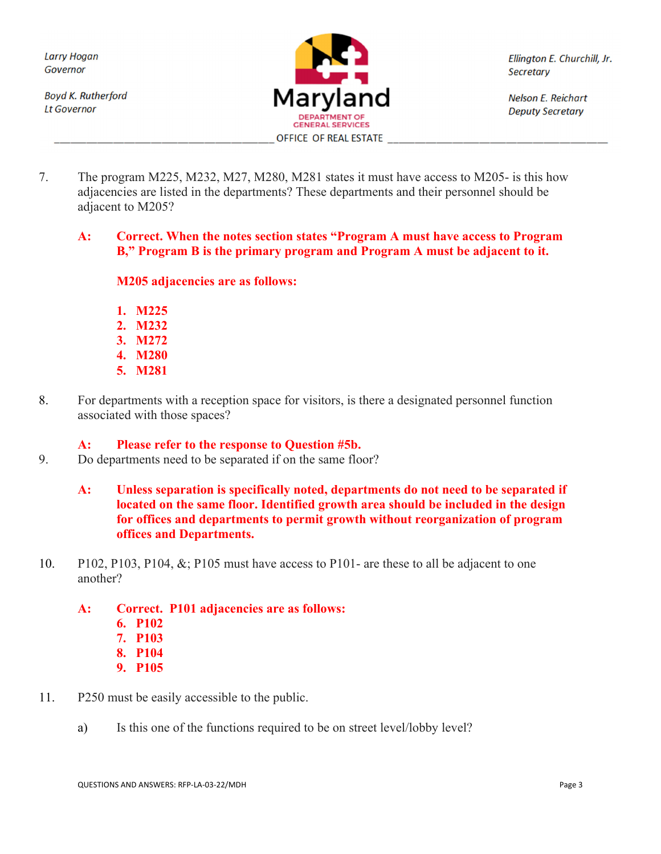**Boyd K. Rutherford Lt Governor** 



Ellington E. Churchill, Jr. **Secretary** 

**Nelson E. Reichart Deputy Secretary** 

- 7. The program M225, M232, M27, M280, M281 states it must have access to M205- is this how adjacencies are listed in the departments? These departments and their personnel should be adjacent to M205?
	- **A: Correct. When the notes section states "Program A must have access to Program B," Program B is the primary program and Program A must be adjacent to it.**

#### **M205 adjacencies are as follows:**

- **1. M225**
- **2. M232**
- **3. M272**
- **4. M280**
- **5. M281**
- 8. For departments with a reception space for visitors, is there a designated personnel function associated with those spaces?

#### **A: Please refer to the response to Question #5b.**

- 9. Do departments need to be separated if on the same floor?
	- **A: Unless separation is specifically noted, departments do not need to be separated if located on the same floor. Identified growth area should be included in the design for offices and departments to permit growth without reorganization of program offices and Departments.**
- 10. P102, P103, P104, &; P105 must have access to P101- are these to all be adjacent to one another?
	- **A: Correct. P101 adjacencies are as follows:**
		- **6. P102**
		- **7. P103**
		- **8. P104**
		- **9. P105**
- 11. P250 must be easily accessible to the public.
	- a) Is this one of the functions required to be on street level/lobby level?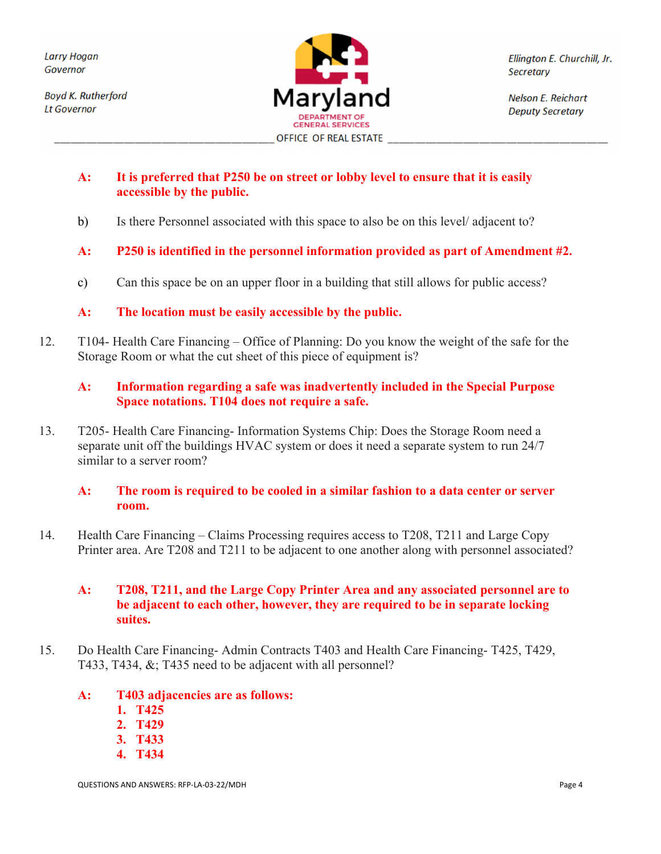**Boyd K. Rutherford Lt Governor** 



Ellington E. Churchill, Jr. **Secretary** 

**Nelson E. Reichart Deputy Secretary** 

## **A: It is preferred that P250 be on street or lobby level to ensure that it is easily accessible by the public.**

- b) Is there Personnel associated with this space to also be on this level/ adjacent to?
- **A: P250 is identified in the personnel information provided as part of Amendment #2.**
- c) Can this space be on an upper floor in a building that still allows for public access?

# **A: The location must be easily accessible by the public.**

12. T104- Health Care Financing – Office of Planning: Do you know the weight of the safe for the Storage Room or what the cut sheet of this piece of equipment is?

## **A: Information regarding a safe was inadvertently included in the Special Purpose Space notations. T104 does not require a safe.**

13. T205- Health Care Financing- Information Systems Chip: Does the Storage Room need a separate unit off the buildings HVAC system or does it need a separate system to run 24/7 similar to a server room?

#### **A: The room is required to be cooled in a similar fashion to a data center or server room.**

14. Health Care Financing – Claims Processing requires access to T208, T211 and Large Copy Printer area. Are T208 and T211 to be adjacent to one another along with personnel associated?

## **A: T208, T211, and the Large Copy Printer Area and any associated personnel are to be adjacent to each other, however, they are required to be in separate locking suites.**

15. Do Health Care Financing- Admin Contracts T403 and Health Care Financing- T425, T429, T433, T434, &; T435 need to be adjacent with all personnel?

# **A: T403 adjacencies are as follows:**

- **1. T425**
- **2. T429**
- **3. T433**
- **4. T434**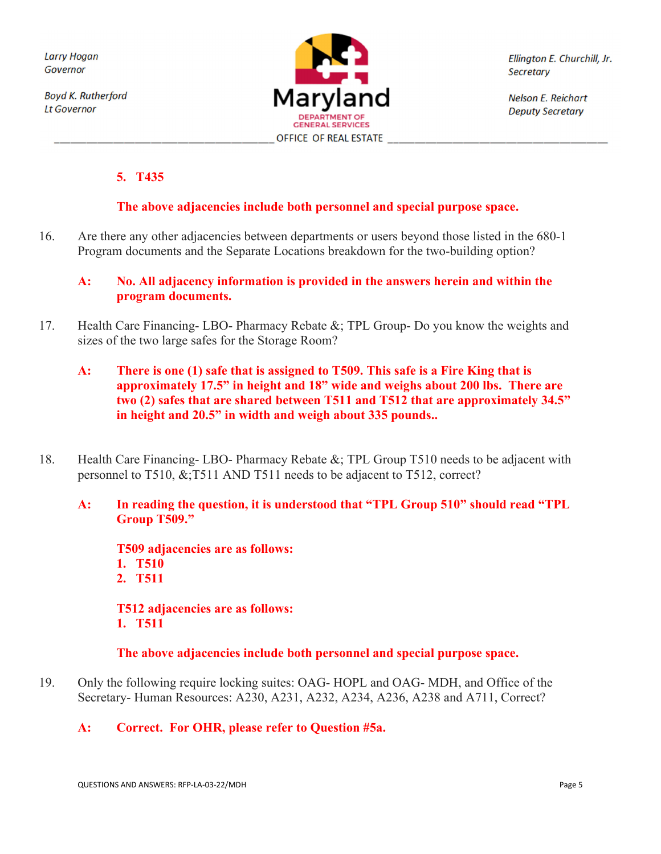**Boyd K. Rutherford Lt Governor** 



Ellington E. Churchill, Jr. **Secretary** 

**Nelson E. Reichart Deputy Secretary** 

#### **5. T435**

#### **The above adjacencies include both personnel and special purpose space.**

- 16. Are there any other adjacencies between departments or users beyond those listed in the 680-1 Program documents and the Separate Locations breakdown for the two-building option?
	- **A: No. All adjacency information is provided in the answers herein and within the program documents.**
- 17. Health Care Financing- LBO- Pharmacy Rebate &; TPL Group- Do you know the weights and sizes of the two large safes for the Storage Room?
	- **A: There is one (1) safe that is assigned to T509. This safe is a Fire King that is approximately 17.5" in height and 18" wide and weighs about 200 lbs. There are two (2) safes that are shared between T511 and T512 that are approximately 34.5" in height and 20.5" in width and weigh about 335 pounds..**
- 18. Health Care Financing- LBO- Pharmacy Rebate &; TPL Group T510 needs to be adjacent with personnel to T510, &;T511 AND T511 needs to be adjacent to T512, correct?
	- **A: In reading the question, it is understood that "TPL Group 510" should read "TPL Group T509."**

**T509 adjacencies are as follows: 1. T510 2. T511** 

 **T512 adjacencies are as follows: 1. T511** 

**The above adjacencies include both personnel and special purpose space.** 

19. Only the following require locking suites: OAG- HOPL and OAG- MDH, and Office of the Secretary- Human Resources: A230, A231, A232, A234, A236, A238 and A711, Correct?

#### **A: Correct. For OHR, please refer to Question #5a.**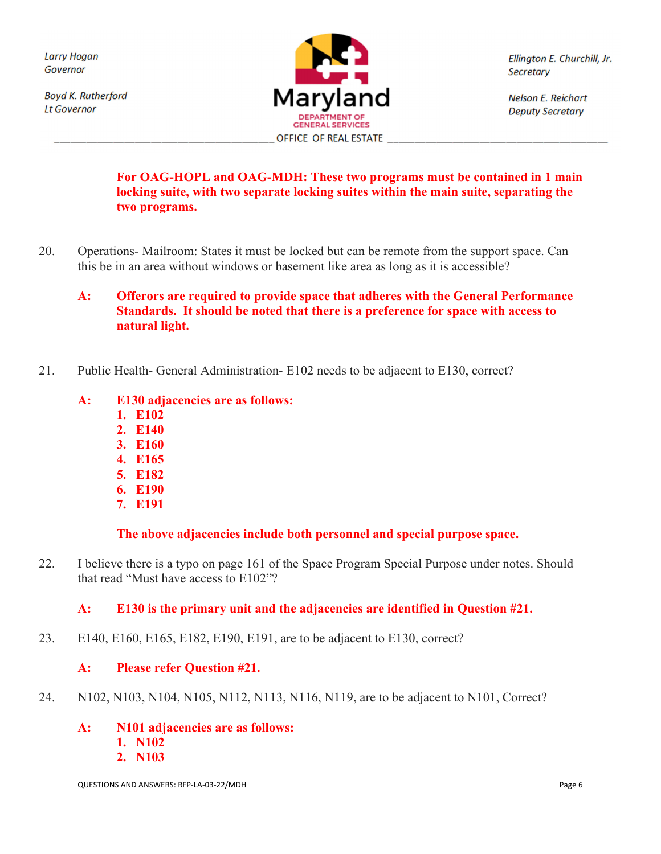**Boyd K. Rutherford Lt Governor** 



Ellington E. Churchill, Jr. **Secretary** 

**Nelson E. Reichart Deputy Secretary** 

**For OAG-HOPL and OAG-MDH: These two programs must be contained in 1 main locking suite, with two separate locking suites within the main suite, separating the two programs.** 

20. Operations- Mailroom: States it must be locked but can be remote from the support space. Can this be in an area without windows or basement like area as long as it is accessible?

## **A: Offerors are required to provide space that adheres with the General Performance Standards. It should be noted that there is a preference for space with access to natural light.**

- 21. Public Health- General Administration- E102 needs to be adjacent to E130, correct?
	- **A: E130 adjacencies are as follows:** 
		- **1. E102**
		- **2. E140**
		- **3. E160**
		- **4. E165**
		- **5. E182**
		- **6. E190**
		- **7. E191**

**The above adjacencies include both personnel and special purpose space.** 

22. I believe there is a typo on page 161 of the Space Program Special Purpose under notes. Should that read "Must have access to E102"?

#### **A: E130 is the primary unit and the adjacencies are identified in Question #21.**

23. E140, E160, E165, E182, E190, E191, are to be adjacent to E130, correct?

#### **A: Please refer Question #21.**

- 24. N102, N103, N104, N105, N112, N113, N116, N119, are to be adjacent to N101, Correct?
	- **A: N101 adjacencies are as follows:** 
		- **1. N102**
		- **2. N103**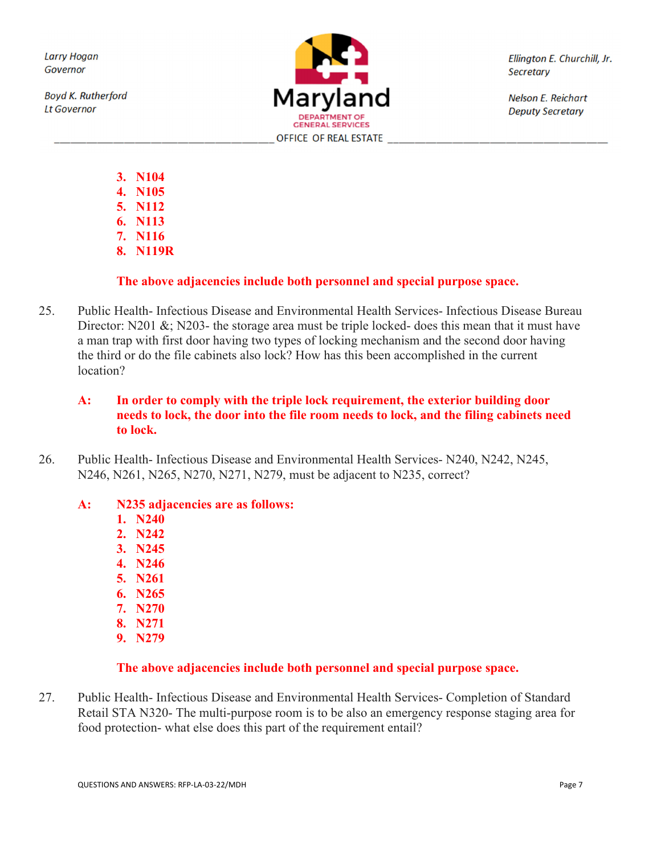**Boyd K. Rutherford Lt Governor** 



Ellington E. Churchill, Jr. **Secretary** 

**Nelson E. Reichart Deputy Secretary** 

- **3. N104**
- **4. N105**
- **5. N112**
- **6. N113**
- **7. N116**
- **8. N119R**

# **The above adjacencies include both personnel and special purpose space.**

25. Public Health- Infectious Disease and Environmental Health Services- Infectious Disease Bureau Director: N201 &; N203- the storage area must be triple locked- does this mean that it must have a man trap with first door having two types of locking mechanism and the second door having the third or do the file cabinets also lock? How has this been accomplished in the current location?

## **A: In order to comply with the triple lock requirement, the exterior building door needs to lock, the door into the file room needs to lock, and the filing cabinets need to lock.**

26. Public Health- Infectious Disease and Environmental Health Services- N240, N242, N245, N246, N261, N265, N270, N271, N279, must be adjacent to N235, correct?

# **A: N235 adjacencies are as follows:**

- **1. N240**
- **2. N242**
- **3. N245**
- **4. N246**
- **5. N261**
- **6. N265**
- **7. N270**
- **8. N271**
- **9. N279**

# **The above adjacencies include both personnel and special purpose space.**

27. Public Health- Infectious Disease and Environmental Health Services- Completion of Standard Retail STA N320- The multi-purpose room is to be also an emergency response staging area for food protection- what else does this part of the requirement entail?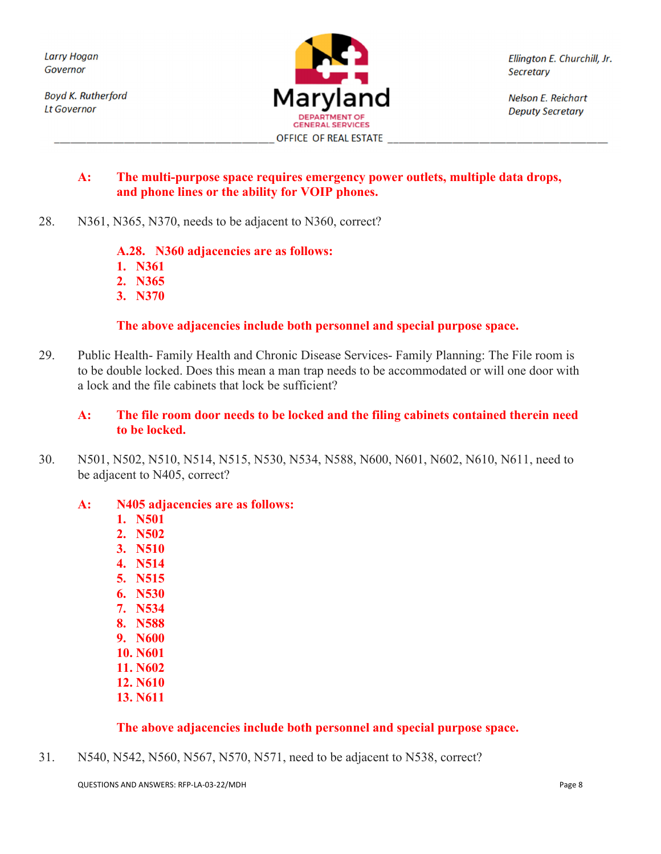**Boyd K. Rutherford Lt Governor** 



Ellington E. Churchill, Jr. **Secretary** 

**Nelson E. Reichart Deputy Secretary** 

#### **A: The multi-purpose space requires emergency power outlets, multiple data drops, and phone lines or the ability for VOIP phones.**

28. N361, N365, N370, needs to be adjacent to N360, correct?

#### **A.28. N360 adjacencies are as follows:**

- **1. N361**
- **2. N365**
- **3. N370**

#### **The above adjacencies include both personnel and special purpose space.**

29. Public Health- Family Health and Chronic Disease Services- Family Planning: The File room is to be double locked. Does this mean a man trap needs to be accommodated or will one door with a lock and the file cabinets that lock be sufficient?

#### **A: The file room door needs to be locked and the filing cabinets contained therein need to be locked.**

30. N501, N502, N510, N514, N515, N530, N534, N588, N600, N601, N602, N610, N611, need to be adjacent to N405, correct?

#### **A: N405 adjacencies are as follows:**

- **1. N501**
- **2. N502**
- **3. N510**
- **4. N514**
- **5. N515**
- **6. N530**
- **7. N534**
- **8. N588**
- **9. N600**
- **10. N601**
- **11. N602**
- **12. N610**
- **13. N611**

#### **The above adjacencies include both personnel and special purpose space.**

31. N540, N542, N560, N567, N570, N571, need to be adjacent to N538, correct?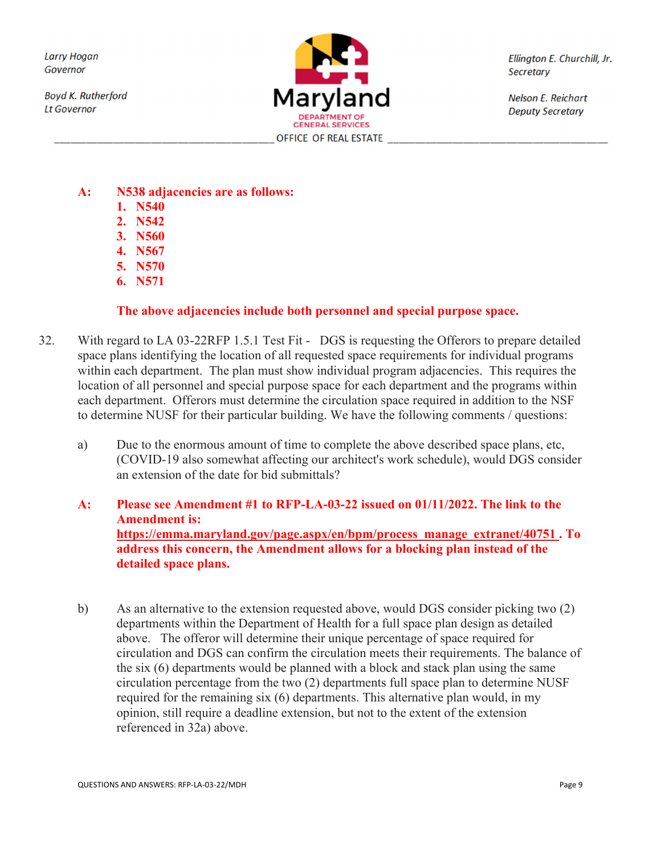**Boyd K. Rutherford Lt Governor** 



Ellington E. Churchill, Jr. **Secretary** 

**Nelson E. Reichart Deputy Secretary** 

- **A: N538 adjacencies are as follows:** 
	- **1. N540**
	- **2. N542**
	- **3. N560**
	- **4. N567**
	- **5. N570**
	- **6. N571**

#### **The above adjacencies include both personnel and special purpose space.**

- 32. With regard to LA 03-22RFP 1.5.1 Test Fit DGS is requesting the Offerors to prepare detailed space plans identifying the location of all requested space requirements for individual programs within each department. The plan must show individual program adjacencies. This requires the location of all personnel and special purpose space for each department and the programs within each department. Offerors must determine the circulation space required in addition to the NSF to determine NUSF for their particular building. We have the following comments / questions:
	- a) Due to the enormous amount of time to complete the above described space plans, etc, (COVID-19 also somewhat affecting our architect's work schedule), would DGS consider an extension of the date for bid submittals?
	- **A: Please see Amendment #1 to RFP-LA-03-22 issued on 01/11/2022. The link to the Amendment is: https://emma.maryland.gov/page.aspx/en/bpm/process\_manage\_extranet/40751 . To address this concern, the Amendment allows for a blocking plan instead of the detailed space plans.**
	- b) As an alternative to the extension requested above, would DGS consider picking two (2) departments within the Department of Health for a full space plan design as detailed above. The offeror will determine their unique percentage of space required for circulation and DGS can confirm the circulation meets their requirements. The balance of the six (6) departments would be planned with a block and stack plan using the same circulation percentage from the two (2) departments full space plan to determine NUSF required for the remaining six (6) departments. This alternative plan would, in my opinion, still require a deadline extension, but not to the extent of the extension referenced in 32a) above.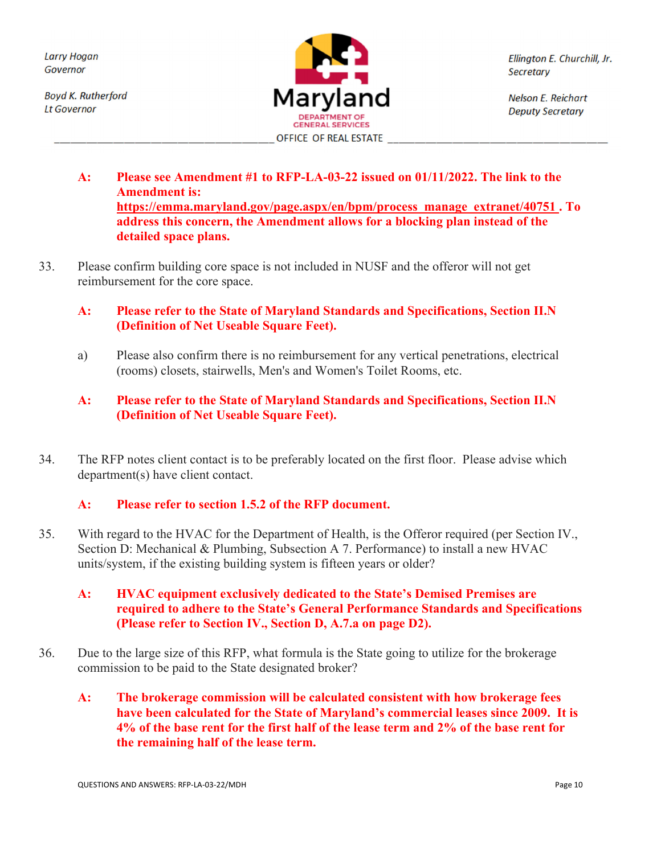**Boyd K. Rutherford Lt Governor** 



Ellington E. Churchill, Jr. **Secretary** 

**Nelson E. Reichart Deputy Secretary** 

- **A: Please see Amendment #1 to RFP-LA-03-22 issued on 01/11/2022. The link to the Amendment is: https://emma.maryland.gov/page.aspx/en/bpm/process\_manage\_extranet/40751 . To address this concern, the Amendment allows for a blocking plan instead of the detailed space plans.**
- 33. Please confirm building core space is not included in NUSF and the offeror will not get reimbursement for the core space.
	- **A: Please refer to the State of Maryland Standards and Specifications, Section II.N (Definition of Net Useable Square Feet).**
	- a) Please also confirm there is no reimbursement for any vertical penetrations, electrical (rooms) closets, stairwells, Men's and Women's Toilet Rooms, etc.
	- **A: Please refer to the State of Maryland Standards and Specifications, Section II.N (Definition of Net Useable Square Feet).**
- 34. The RFP notes client contact is to be preferably located on the first floor. Please advise which department(s) have client contact.

#### **A: Please refer to section 1.5.2 of the RFP document.**

- 35. With regard to the HVAC for the Department of Health, is the Offeror required (per Section IV., Section D: Mechanical & Plumbing, Subsection A 7. Performance) to install a new HVAC units/system, if the existing building system is fifteen years or older?
	- **A: HVAC equipment exclusively dedicated to the State's Demised Premises are required to adhere to the State's General Performance Standards and Specifications (Please refer to Section IV., Section D, A.7.a on page D2).**
- 36. Due to the large size of this RFP, what formula is the State going to utilize for the brokerage commission to be paid to the State designated broker?
	- **A: The brokerage commission will be calculated consistent with how brokerage fees have been calculated for the State of Maryland's commercial leases since 2009. It is 4% of the base rent for the first half of the lease term and 2% of the base rent for the remaining half of the lease term.**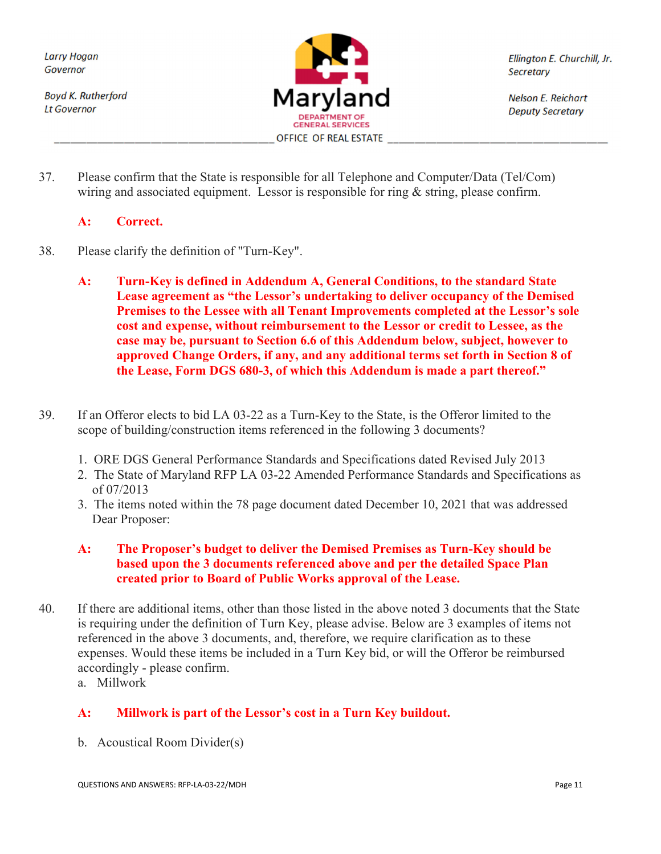**Boyd K. Rutherford Lt Governor** 



Ellington E. Churchill, Jr. **Secretary** 

**Nelson E. Reichart Deputy Secretary** 

37. Please confirm that the State is responsible for all Telephone and Computer/Data (Tel/Com) wiring and associated equipment. Lessor is responsible for ring & string, please confirm.

# **A: Correct.**

- 38. Please clarify the definition of "Turn-Key".
	- **A: Turn-Key is defined in Addendum A, General Conditions, to the standard State Lease agreement as "the Lessor's undertaking to deliver occupancy of the Demised Premises to the Lessee with all Tenant Improvements completed at the Lessor's sole cost and expense, without reimbursement to the Lessor or credit to Lessee, as the case may be, pursuant to Section 6.6 of this Addendum below, subject, however to approved Change Orders, if any, and any additional terms set forth in Section 8 of the Lease, Form DGS 680-3, of which this Addendum is made a part thereof."**
- 39. If an Offeror elects to bid LA 03-22 as a Turn-Key to the State, is the Offeror limited to the scope of building/construction items referenced in the following 3 documents?
	- 1. ORE DGS General Performance Standards and Specifications dated Revised July 2013
	- 2. The State of Maryland RFP LA 03-22 Amended Performance Standards and Specifications as of 07/2013
	- 3. The items noted within the 78 page document dated December 10, 2021 that was addressed Dear Proposer:

#### **A: The Proposer's budget to deliver the Demised Premises as Turn-Key should be based upon the 3 documents referenced above and per the detailed Space Plan created prior to Board of Public Works approval of the Lease.**

- 40. If there are additional items, other than those listed in the above noted 3 documents that the State is requiring under the definition of Turn Key, please advise. Below are 3 examples of items not referenced in the above 3 documents, and, therefore, we require clarification as to these expenses. Would these items be included in a Turn Key bid, or will the Offeror be reimbursed accordingly - please confirm.
	- a. Millwork

# **A: Millwork is part of the Lessor's cost in a Turn Key buildout.**

b. Acoustical Room Divider(s)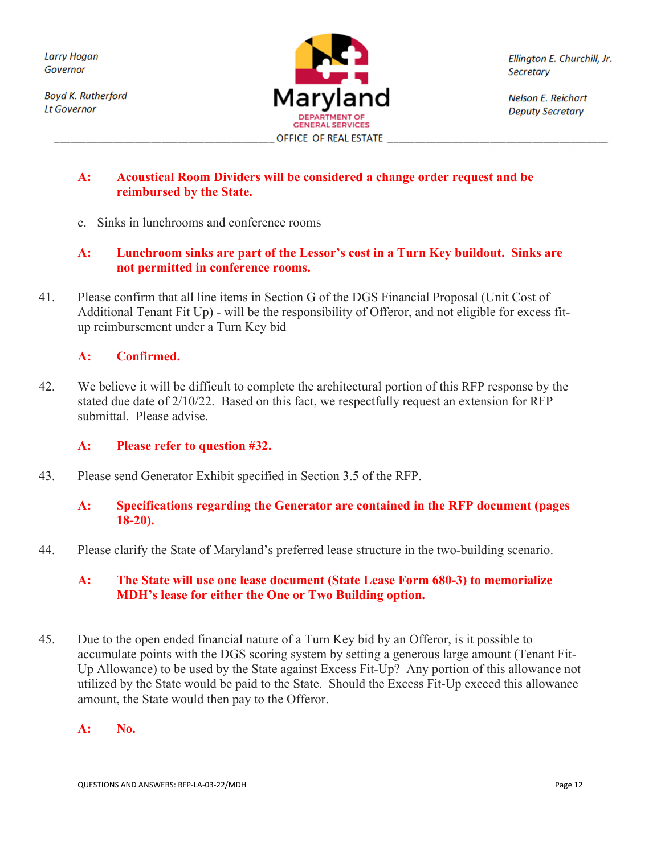**Boyd K. Rutherford Lt Governor** 



Ellington E. Churchill, Jr. **Secretary** 

**Nelson E. Reichart Deputy Secretary** 

#### **A: Acoustical Room Dividers will be considered a change order request and be reimbursed by the State.**

c. Sinks in lunchrooms and conference rooms

## **A: Lunchroom sinks are part of the Lessor's cost in a Turn Key buildout. Sinks are not permitted in conference rooms.**

41. Please confirm that all line items in Section G of the DGS Financial Proposal (Unit Cost of Additional Tenant Fit Up) - will be the responsibility of Offeror, and not eligible for excess fitup reimbursement under a Turn Key bid

## **A: Confirmed.**

42. We believe it will be difficult to complete the architectural portion of this RFP response by the stated due date of 2/10/22. Based on this fact, we respectfully request an extension for RFP submittal. Please advise.

#### **A: Please refer to question #32.**

43. Please send Generator Exhibit specified in Section 3.5 of the RFP.

#### **A: Specifications regarding the Generator are contained in the RFP document (pages 18-20).**

44. Please clarify the State of Maryland's preferred lease structure in the two-building scenario.

#### **A: The State will use one lease document (State Lease Form 680-3) to memorialize MDH's lease for either the One or Two Building option.**

45. Due to the open ended financial nature of a Turn Key bid by an Offeror, is it possible to accumulate points with the DGS scoring system by setting a generous large amount (Tenant Fit-Up Allowance) to be used by the State against Excess Fit-Up? Any portion of this allowance not utilized by the State would be paid to the State. Should the Excess Fit-Up exceed this allowance amount, the State would then pay to the Offeror.

# **A: No.**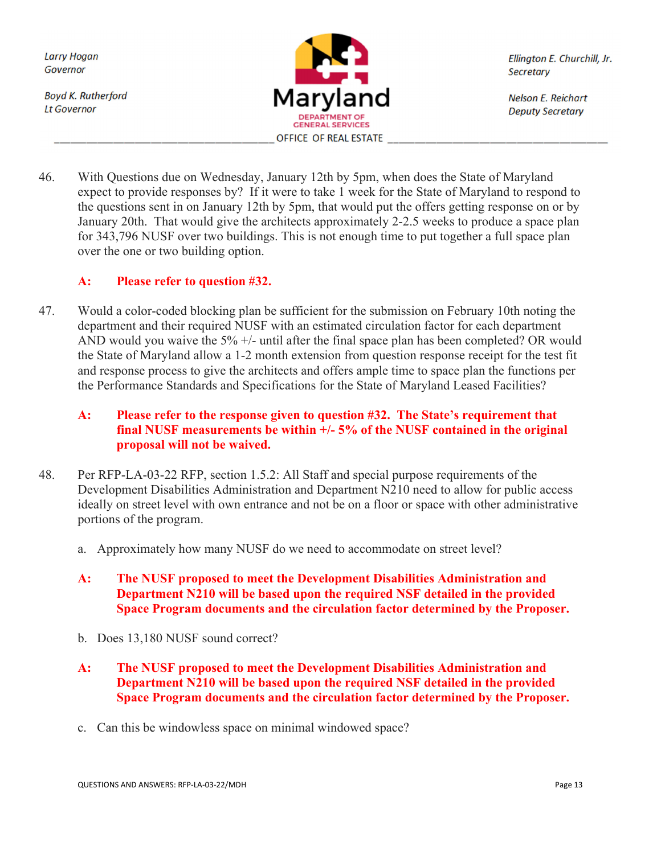**Boyd K. Rutherford Lt Governor** 



Ellington E. Churchill, Jr. **Secretary** 

**Nelson E. Reichart Deputy Secretary** 

46. With Questions due on Wednesday, January 12th by 5pm, when does the State of Maryland expect to provide responses by? If it were to take 1 week for the State of Maryland to respond to the questions sent in on January 12th by 5pm, that would put the offers getting response on or by January 20th. That would give the architects approximately 2-2.5 weeks to produce a space plan for 343,796 NUSF over two buildings. This is not enough time to put together a full space plan over the one or two building option.

#### **A: Please refer to question #32.**

47. Would a color-coded blocking plan be sufficient for the submission on February 10th noting the department and their required NUSF with an estimated circulation factor for each department AND would you waive the 5%  $+/-$  until after the final space plan has been completed? OR would the State of Maryland allow a 1-2 month extension from question response receipt for the test fit and response process to give the architects and offers ample time to space plan the functions per the Performance Standards and Specifications for the State of Maryland Leased Facilities?

#### **A: Please refer to the response given to question #32. The State's requirement that final NUSF measurements be within +/- 5% of the NUSF contained in the original proposal will not be waived.**

- 48. Per RFP-LA-03-22 RFP, section 1.5.2: All Staff and special purpose requirements of the Development Disabilities Administration and Department N210 need to allow for public access ideally on street level with own entrance and not be on a floor or space with other administrative portions of the program.
	- a. Approximately how many NUSF do we need to accommodate on street level?
	- **A: The NUSF proposed to meet the Development Disabilities Administration and Department N210 will be based upon the required NSF detailed in the provided Space Program documents and the circulation factor determined by the Proposer.**
	- b. Does 13,180 NUSF sound correct?
	- **A: The NUSF proposed to meet the Development Disabilities Administration and Department N210 will be based upon the required NSF detailed in the provided Space Program documents and the circulation factor determined by the Proposer.**
	- c. Can this be windowless space on minimal windowed space?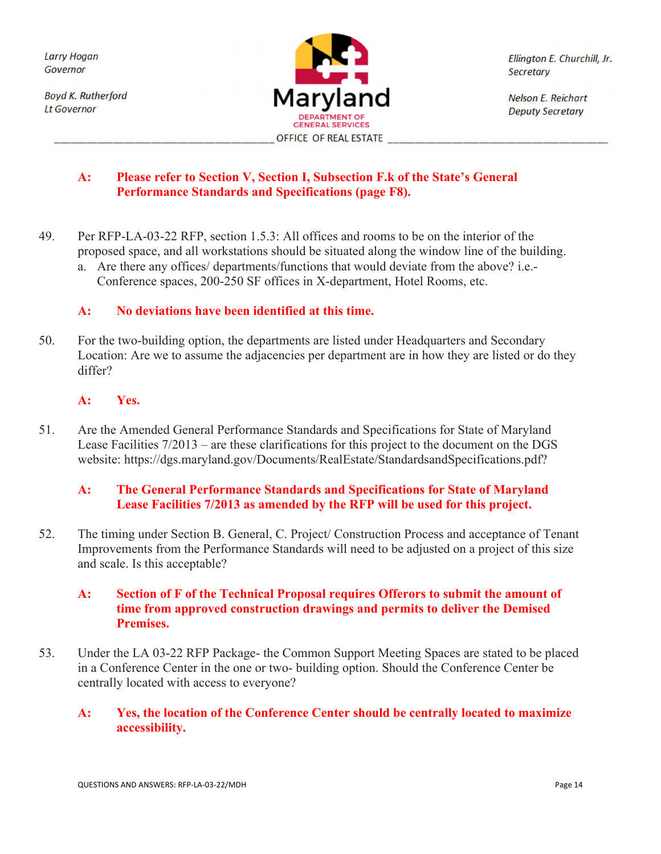**Boyd K. Rutherford Lt Governor** 



Ellington E. Churchill, Jr. **Secretary** 

**Nelson E. Reichart Deputy Secretary** 

## **A: Please refer to Section V, Section I, Subsection F.k of the State's General Performance Standards and Specifications (page F8).**

- 49. Per RFP-LA-03-22 RFP, section 1.5.3: All offices and rooms to be on the interior of the proposed space, and all workstations should be situated along the window line of the building.
	- a. Are there any offices/ departments/functions that would deviate from the above? i.e.- Conference spaces, 200-250 SF offices in X-department, Hotel Rooms, etc.

# **A: No deviations have been identified at this time.**

50. For the two-building option, the departments are listed under Headquarters and Secondary Location: Are we to assume the adjacencies per department are in how they are listed or do they differ?

# **A: Yes.**

51. Are the Amended General Performance Standards and Specifications for State of Maryland Lease Facilities 7/2013 – are these clarifications for this project to the document on the DGS website: https://dgs.maryland.gov/Documents/RealEstate/StandardsandSpecifications.pdf?

# **A: The General Performance Standards and Specifications for State of Maryland Lease Facilities 7/2013 as amended by the RFP will be used for this project.**

52. The timing under Section B. General, C. Project/ Construction Process and acceptance of Tenant Improvements from the Performance Standards will need to be adjusted on a project of this size and scale. Is this acceptable?

## **A: Section of F of the Technical Proposal requires Offerors to submit the amount of time from approved construction drawings and permits to deliver the Demised Premises.**

53. Under the LA 03-22 RFP Package- the Common Support Meeting Spaces are stated to be placed in a Conference Center in the one or two- building option. Should the Conference Center be centrally located with access to everyone?

#### **A: Yes, the location of the Conference Center should be centrally located to maximize accessibility.**